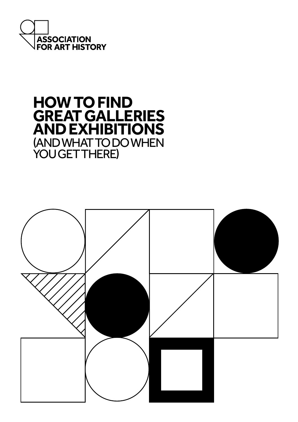

# **HOW TO FIND GREAT GALLERIES AND EXHIBITIONS** (AND WHAT TO DO WHEN YOU GET THERE)

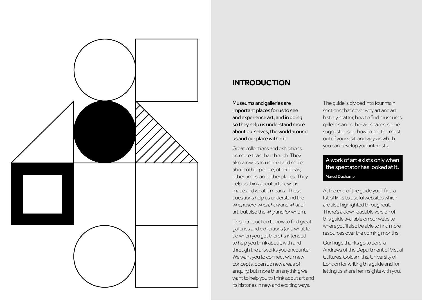

# **INTRODUCTION**

Museums and galleries are important places for us to see and experience art, and in doing so they help us understand more about ourselves, the world around us and our place within it.

Great collections and exhibitions do more than that though. They also allow us to understand more about other people, other ideas, other times, and other places. They help us think about art, how it is made and what it means. These questions help us understand the *who, where, when, how* and *what* of art, but also the *why* and *for* whom.

This introduction to how to find great galleries and exhibitions (and what to do when you get there) is intended to help you think about, with and through the artworks you encounter. We want you to connect with new concepts, open up new areas of enquiry, but more than anything we want to help you to think about art and its histories in new and exciting ways.

The guide is divided into four main sections that cover why art and art history matter, how to find museums, galleries and other art spaces, some suggestions on how to get the most out of your visit, and ways in which you can develop your interests.

## A work of art exists only when the spectator has looked at it. Marcel Duchamp

At the end of the guide you'll find a list of links to useful websites which are also highlighted throughout. There's a downloadable version of this guide available on our website where you'll also be able to find more resources over the coming months.

Our huge thanks go to Jorella Andrews of the Department of Visual Cultures, Goldsmiths, University of London for writing this guide and for letting us share her insights with you.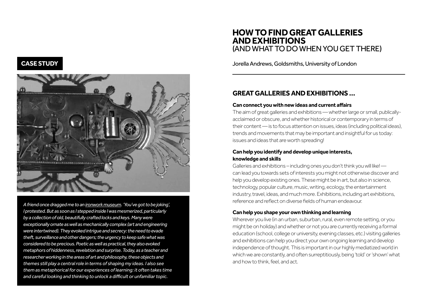# **CASE STUDY**



*A friend once dragged me to an [ironwork museum.](http://museelesecqdestournelles.fr/en/the-museum-6) 'You've got to be joking', I protested. But as soon as I stepped inside I was mesmerized, particularly by a collection of old, beautifully crafted locks and keys. Many were exceptionally ornate as well as mechanically complex (art and engineering were intertwined). They evoked intrigue and secrecy: the need to evade theft, surveillance and other dangers; the urgency to keep safe what was considered to be precious. Poetic as well as practical, they also evoked metaphors of hiddenness, revelation and surprise. Today, as a teacher and researcher working in the areas of art and philosophy, these objects and themes still play a central role in terms of shaping my ideas. I also see them as metaphorical for our experiences of learning: it often takes time and careful looking and thinking to unlock a difficult or unfamiliar topic.*

# **HOW TO FIND GREAT GALLERIES AND EXHIBITIONS**  (AND WHAT TO DO WHEN YOU GETTHERE)

Jorella Andrews, Goldsmiths, University of London

# **GREAT GALLERIES AND EXHIBITIONS …**

## **Can connect you with new ideas and current affairs**

The aim of great galleries and exhibitions — whether large or small, publicallyacclaimed or obscure, and whether historical or contemporary in terms of their content — is to focus attention on issues, ideas (including political ideas), trends and movements that may be important and insightful for us today: issues and ideas that are worth spreading!

## **Can help you identify and develop unique interests, knowledge and skills**

Galleries and exhibitions – including ones you don't think you will like! can lead you towards sets of interests you might not otherwise discover and help you develop existing ones. These might be in art, but also in science, technology, popular culture, music, writing, ecology, the entertainment industry, travel, ideas, and much more. Exhibitions, including art exhibitions, reference and reflect on diverse fields of human endeavour.

## **Can help you shape your own thinking and learning**

Wherever you live (in an urban, suburban, rural, even remote setting, or you might be on holiday) and whether or not you are currently receiving a formal education (school, college or university, evening classes, etc.) visiting galleries and exhibitions can help you direct your own ongoing learning and develop independence of thought. This is important in our highly mediatized world in which we are constantly, and often surreptitiously, being 'told' or 'shown' what and how to think, feel, and act.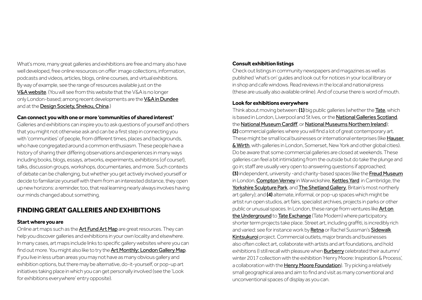What's more, many great galleries and exhibitions are free and many also have well developed, free online resources on offer: image collections, information, podcasts and videos, articles, blogs, online courses, and virtual exhibitions. By way of example, see the range of resources available just on the V&A website. (You will see from this website that the V&A is no longer only London-based; among recent developments are the **[V&A in Dundee](https://www.vam.ac.uk/dundee)** and at the [Design Society, Shekou, China](https://www.vam.ac.uk/info/va-at-design-society-shekou).)

## **Can connect you with one or more 'communities of shared interest'**

Galleries and exhibitions can inspire you to ask questions of yourself and others that you might not otherwise ask and can be a first step in connecting you with 'communities' of people, from different times, places and backgrounds, who have congregated around a common enthusiasm. These people have a history of sharing their differing observations and experiences in many ways including books, blogs, essays, artworks, experiments, exhibitions (of course!), talks, discussion groups, workshops, documentaries, and more. Such contexts of debate can be challenging, but whether you get actively involved yourself or decide to familiarize yourself with them from an interested distance, they open up new horizons: a reminder, too, that real learning nearly always involves having our minds changed about something.

# **FINDING GREAT GALLERIES AND EXHIBITIONS**

## **Start where you are**

Online art maps such as the **[Art Fund Art Map](https://www.artfund.org/what-to-see/art-map)** are great resources. They can help you discover galleries and exhibitions in your own locality and elsewhere. In many cases, art maps include links to specific gallery websites where you can find out more. You might also like to try the [Art Monthly: London Gallery Map](http://www.artmonthly.co.uk/magazine/site/london-gallery-map). If you live in less urban areas you may not have as many obvious gallery and exhibition options, but there may be alternative, do-it-yourself, or pop-up art initiatives taking place in which you can get personally involved (see the 'Look for exhibitions everywhere' entry opposite).

## **Consult exhibition listings**

Check out listings in community newspapers and magazines as well as published 'what's on' guides and look out for notices in your local library or in shop and cafe windows. Read reviews in the local and national press (these are usually also available online). And of course there is word of mouth.

## **Look for exhibitions everywhere**

Think about moving between: (1) big public galleries (whether the [Tate](https://www.tate.org.uk/), which is based in London, Liverpool and St Ives, or the **[National Galleries Scotland](https://www.nationalgalleries.org)**, the [National Museum Cardiff](https://museum.wales/cardiff/), or [National Museums Northern Ireland](https://www.nmni.com/Home.aspx)); (2) commercial galleries where you will find a lot of great contemporary art. These might be small local businesses or international enterprises (like [Hauser](https://www.hauserwirth.com)  [& Wirth](https://www.hauserwirth.com), with galleries in London, Somerset, New York and other global cities). Do be aware that some commercial galleries are closed at weekends. These galleries can feel a bit intimidating from the outside but do take the plunge and go in; staff are usually very open to answering questions if approached; (3) independent, university -and charity-based spaces (like the [Freud Museum](https://www.freud.org.uk/) in London, [Compton Verney](https://www.comptonverney.org.uk) in Warwickshire, [Kettles Yard](https://www.kettlesyard.co.uk) in Cambridge, the [Yorkshire Sculpture Park](https://ysp.org.uk), and [The Shetland Gallery](https://www.shetlandgallery.com), Britain's most northerly art gallery); and (4) alternate, informal, or pop-up spaces which might be artist run open studios, art fairs, specialist archives, projects in parks or other public or unusual spaces. In London, these range from ventures like [Art on](https://art.tfl.gov.uk/)  [the Underground](https://art.tfl.gov.uk/) to [Tate Exchange](https://www.tate.org.uk/visit/tate-modern/tate-exchange) (Tate Modern) where participatory, shorter term projects take place. Street art, including graffiti, is incredibly rich and varied: see for instance work by **[Retna](http://www.redeyeretna.com/)** or Rachel Sussman's **[Sidewalk](http://www.rachelsussman.com/portfolio/%23/sidewalk-kintsukuroi/)** [Kintsukuroi](http://www.rachelsussman.com/portfolio/%23/sidewalk-kintsukuroi/) project. Commercial outlets, major brands and businesses also often collect art, collaborate with artists and art foundations, and hold exhibitions (I still recall with pleasure when **[Burberry](https://ca.burberry.com/london-fashion-week/february-show-2017/)** celebrated their autumn/ winter 2017 collection with the exhibition 'Henry Moore: Inspiration & Process', a collaboration with the **[Henry Moore Foundation](https://www.henry-moore.org/)**). Try picking a relatively small geographical area and aim to find and visit as many conventional and unconventional spaces of display as you can.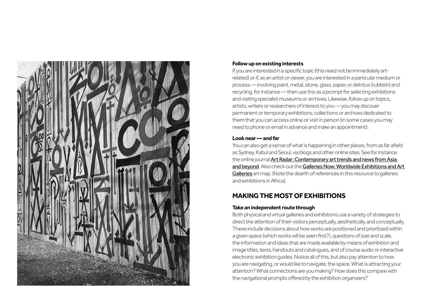

## **Follow up on existing interests**

If you are interested in a specific topic (this need not be immediately artrelated) or if, as an artist or viewer, you are interested in a particular medium or process — involving paint, metal, stone, glass, paper, or detritus (rubbish) and recycling, for instance — then use this as a prompt for selecting exhibitions and visiting specialist museums or archives. Likewise, follow up on topics, artists, writers or researchers of interest to you — you may discover permanent or temporary exhibitions, collections or archives dedicated to them that you can access online or visit in person (in some cases you may need to phone or email in advance and make an appointment).

## **Look near — and far**

You can also get a sense of what is happening in other places, from as far afield as Sydney, Kabul and Seoul, via blogs and other online sites. See for instance the online journal Art Radar: Contemporary art trends and news from Asia [and beyond](http://artradarjournal.com/). Also check out the [Galleries Now: Worldwide Exhibitions and Art](https://www.galleriesnow.net/exhibitions/worldwide/)  [Galleries](https://www.galleriesnow.net/exhibitions/worldwide/) art map. (Note the dearth of references in this resource to galleries and exhibitions in Africa).

# **MAKING THE MOST OF EXHIBITIONS**

## **Take an independent route through**

Both physical and virtual galleries and exhibitions use a variety of strategies to direct the attention of their visitors perceptually, aesthetically, and conceptually. These include decisions about how works are positioned and prioritized within a given space (which works will be seen first?), questions of size and scale, the information and ideas that are made available by means of exhibition and image titles, texts, handouts and catalogues, and of course audio or interactive electronic exhibition guides. Notice all of this, but also pay attention to how you are navigating, or would like to navigate, the space. What is attracting your attention? What connections are you making? How does this compare with the navigational prompts offered by the exhibition organizers?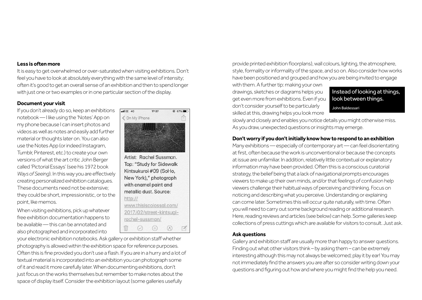#### **Less is often more**

It is easy to get overwhelmed or over-saturated when visiting exhibitions. Don't feel you have to look at absolutely everything with the same level of intensity; often it's good to get an overall sense of an exhibition and then to spend longer with just one or two examples or in one particular section of the display.

## **Document your visit**

If you don't already do so, keep an exhibitions notebook — I like using the 'Notes' App on my phone because I can insert photos and videos as well as notes and easily add further material or thoughts later on. You can also use the Notes App (or indeed Instagram, Tumblr, Pinterest, etc.) to create your own versions of what the art critic John Berger called 'Pictorial Essays' (see his 1972 book *Ways of Seeing*). In this way you are effectively creating personalized exhibition catalogues. These documents need not be extensive; they could be short, impressionistic, or to the point, like memos.

When visiting exhibitions, pick up whatever free exhibition documentation happens to be available — this can be annotated and also photographed and incorporated into



Artist: Rachel Sussman. Top: "Study for Sidewalk Kintsukuroi #09 (SoHo, New York)," photograph with enamel paint and metallic dust, Source: http:// www.thisiscolossal.com/ 2017/02/street-kintsugirachel-sussman/  $\odot$  $(+)$  $\curvearrowright$  $\sqrt{2}$ 

your electronic exhibition notebooks. Ask gallery or exhibition staff whether photography is allowed within the exhibition space for reference purposes. Often this is fine provided you don't use a flash. If you are in a hurry and a lot of textual material is incorporated into an exhibition you can photograph some of it and read it more carefully later. When documenting exhibitions, don't just focus on the works themselves but remember to make notes about the space of display itself. Consider the exhibition layout (some galleries usefully

provide printed exhibition floorplans), wall colours, lighting, the atmosphere, style, formality or informality of the space, and so on. Also consider how works have been positioned and grouped and how you are being invited to engage

with them. A further tip: making your own drawings, sketches or diagrams helps you get even more from exhibitions. Even if you don't consider yourself to be particularly skilled at this, drawing helps you look more

Instead of looking at things, look between things. John Baldessari

slowly and closely and enables you notice details you might otherwise miss. As you draw, unexpected questions or insights may emerge.

## **Don't worry if you don't initially know how to respond to an exhibition**

Many exhibitions — especially of contemporary art — can feel disorientating at first, often because the work is unconventional or because the concepts at issue are unfamiliar. In addition, relatively little contextual or explanatory information may have been provided. Often this is a conscious curatorial strategy, the belief being that a lack of navigational prompts encourages viewers to make up their own minds, and/or that feelings of confusion help viewers challenge their habitual ways of perceiving and thinking. Focus on noticing and describing what you perceive. Understanding or explaining can come later. Sometimes this will occur quite naturally, with time. Often you will need to carry out some background reading or additional research. Here, reading reviews and articles (see below) can help. Some galleries keep collections of press cuttings which are available for visitors to consult. Just ask.

## **Ask questions**

Gallery and exhibition staff are usually more than happy to answer questions. Finding out what other visitors think – by asking them – can be extremely interesting although this may not always be welcomed; play it by ear! You may not immediately find the answers you are after so consider writing down your questions and figuring out how and where you might find the help you need.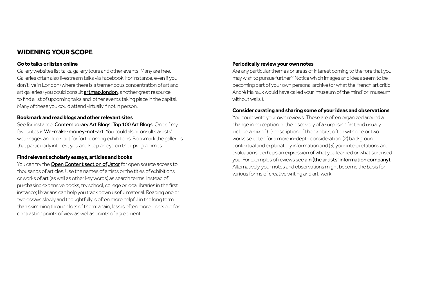# **WIDENING YOUR SCOPE**

## **Go to talks or listen online**

Gallery websites list talks, gallery tours and other events. Many are free. Galleries often also livestream talks via Facebook. For instance, even if you don't live in London (where there is a tremendous concentration of art and art galleries) you could consult **[artmap.london](https://www.artmap.london/artevents)**, another great resource, to find a list of upcoming talks and other events taking place in the capital. Many of these you could attend virtually if not in person.

## **Bookmark and read blogs and other relevant sites**

See for instance: Contemporary Art Blogs: Top 100 Art Blogs. One of my favourites is [We-make-money-not-art](http://we-make-money-not-art.com/). You could also consults artists' web-pages and look out for forthcoming exhibitions. Bookmark the galleries that particularly interest you and keep an eye on their programmes.

## **Find relevant scholarly essays, articles and books**

You can try the [Open Content section of](https://www.jstor.org/open/) [Jstor](https://www.jstor.org/open/) for open source access to thousands of articles. Use the names of artists or the titles of exhibitions or works of art (as well as other key words) as search terms. Instead of purchasing expensive books, try school, college or local libraries in the first instance; librarians can help you track down useful material. Reading one or two essays slowly and thoughtfully is often more helpful in the long term than skimming through lots of them: again, less is often more. Look out for contrasting points of view as well as points of agreement.

## **Periodically review your own notes**

Are any particular themes or areas of interest coming to the fore that you may wish to pursue further? Notice which images and ideas seem to be becoming part of your own personal archive (or what the French art critic André Malraux would have called your 'museum of the mind' or 'museum without walls').

## **Consider curating and sharing some of your ideas and observations**

You could write your own reviews. These are often organized around a change in perception or the discovery of a surprising fact and usually include a mix of (1) description of the exhibits, often with one or two works selected for a more in-depth consideration, (2) background, contextual and explanatory information and (3) your interpretations and evaluations; perhaps an expression of what you learned or what surprised you. For examples of reviews see **[a.n \(the](https://www.a-n.co.uk/reviews/) [artists' information company\)](https://www.a-n.co.uk/reviews/)**. Alternatively, your notes and observations might become the basis for various forms of creative writing and art-work.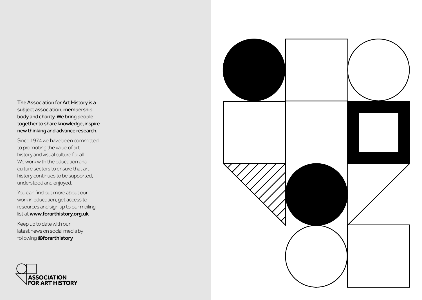The Association for Art History is a subject association, membership body and charity. We bring people together to share knowledge, inspire new thinking and advance research.

Since 1974 we have been committed to promoting the value of art history and visual culture for all. We work with the education and culture sectors to ensure that art history continues to be supported, understood and enjoyed.

You can find out more about our work in education, get access to resources and sign up to our mailing list at www.forarthistory.org.uk

Keep up to date with our latest news on social media by following **aforarthistory** 



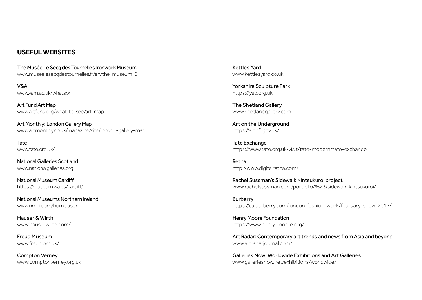## **USEFUL WEBSITES**

The Musée Le Secq des Tournelles Ironwork Museum www.museelesecqdestournelles.fr/en/the-museum-6

V&A www.vam.ac.uk/whatson

Art Fund Art Map www.artfund.org/what-to-see/art-map

Art Monthly: London Gallery Map www.artmonthly.co.uk/magazine/site/london-gallery-map

Tate www.tate.org.uk/

National Galleries Scotland www.nationalgalleries.org

National Museum Cardiff https://museum.wales/cardiff/

National Museums Northern Ireland www.nmni.com/home.aspx

Hauser & Wirth www.hauserwirth.com/

Freud Museum www.freud.org.uk/

Compton Verney www.comptonverney.org.uk Kettles Yard www.kettlesyard.co.uk

Yorkshire Sculpture Park https://ysp.org.uk

The Shetland Gallery www.shetlandgallery.com

Art on the Underground https://art.tfl.gov.uk/

Tate Exchange https://www.tate.org.uk/visit/tate-modern/tate-exchange

Retna http://www.digitalretna.com/

Rachel Sussman's Sidewalk Kintsukuroi project www.rachelsussman.com/portfolio/%23/sidewalk-kintsukuroi/

Burberry https://ca.burberry.com/london-fashion-week/february-show-2017/

[Henry Moore Foundation](https://www.henry-moore.org/) https://www.henry-moore.org/

Art Radar: Contemporary art trends and news from Asia and beyond www.artradarjournal.com/

Galleries Now: Worldwide Exhibitions and Art Galleries www.galleriesnow.net/exhibitions/worldwide/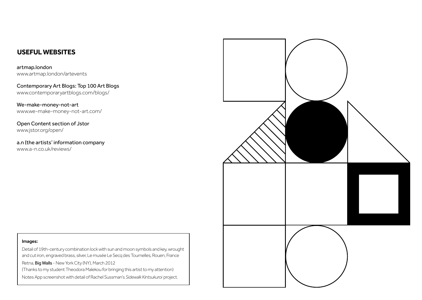# **USEFUL WEBSITES**

artmap.london www.artmap.london/artevents

Contemporary Art Blogs: Top 100 Art Blogs www.contemporaryartblogs.com/blogs/

We-make-money-not-art www.we-make-money-not-art.com/

Open Content section of Jstor www.jstor.org/open/

a.n (the artists' information company www.a-n.co.uk/reviews/



#### Images:

Detail of 19th-century combination lock with sun and moon symbols and key, wrought and cut iron, engraved brass, silver, Le musée Le Secq des Tournelles, Rouen, France Retna, Big Walls - New York City (NY), March 2012 (Thanks to my student Theodora Malekou for bringing this artist to my attention) Notes App screenshot with detail of Rachel Sussman's *Sidewalk Kintsukuroi* project.